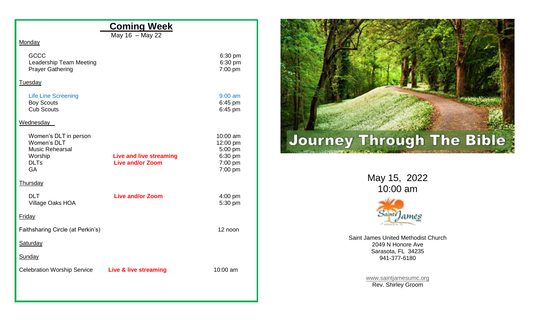## **Coming Week**

May 16 – May 22

## **Monday**

| <b>GCCC</b>             | $6:30$ pm         |
|-------------------------|-------------------|
| Leadership Team Meeting | 6:30 pm           |
| <b>Prayer Gathering</b> | $7:00 \text{ pm}$ |

## **Tuesday**

| 9:00 am   |
|-----------|
| $6:45$ pm |
| $6:45$ pm |
|           |

## **Wednesday**

| Women's DLT in person                 |                         | 10:00 am            |
|---------------------------------------|-------------------------|---------------------|
| Women's DLT<br><b>Music Rehearsal</b> |                         | 12:00 pm<br>5:00 pm |
| Worship                               | Live and live streaming | 6:30 pm             |
| <b>DLTs</b>                           | <b>Live and/or Zoom</b> | $7:00$ pm           |
| <b>GA</b>                             |                         | 7:00 pm             |
| <b>Thursday</b>                       |                         |                     |
| <b>DLT</b>                            | Live and/or Zoom        | $4:00$ pm           |
| Village Oaks HOA                      |                         | 5:30 pm             |
| <b>Friday</b>                         |                         |                     |
| Faithsharing Circle (at Perkin's)     |                         | 12 noon             |
| <b>Saturday</b>                       |                         |                     |
| Sunday                                |                         |                     |
| <b>Celebration Worship Service</b>    | Live & live streaming   | 10:00 am            |
|                                       |                         |                     |
|                                       |                         |                     |



May 15, 202 2 10:00 am



Saint James United Methodist Church 2049 N Honore Ave Sarasota, FL 34235 941 -377 -6180

> [www.saintjamesumc.org](http://www.saintjamesumc.org/) Rev. Shirley Groom